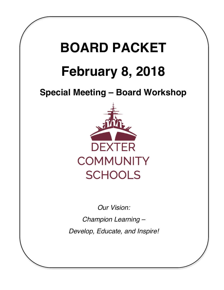# **BOARD PACKET February 8, 2018 Special Meeting – Board Workshop DEXTER COMMUNITY SCHOOLS** *Our Vision: Champion Learning – Develop, Educate, and Inspire!*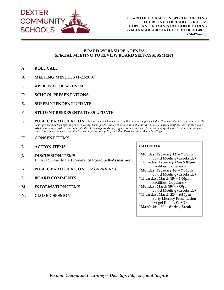

#### **BOARD WORKSHOP AGENDA SPECIAL MEETING TO REVIEW BOARD SELF-ASSESSMENT**

- **A. ROLL CALL**
- **B. MEETING MINUTES** (1-22-2018)
- **C. APPROVAL OF AGENDA**
- **D. SCHOOL PRESENTATIONS**
- **E. SUPERINTENDENT UPDATE**
- **F. STUDENT REPRESENTATIVES UPDATE**
- **G. PUBLIC PARTICIPATION:** *Persons who wish to address the Board may complete a Public Comment Card to be presented to the Board president at the beginning of the meeting. Each speaker is allotted a maximum of 5 minutes unless otherwise notified. Each speaker will be asked to announce his/her name and indicate if he/she represents any organization or agency. No person may speak more than once on the same subject during a single meeting. For further details see our policy on Public Participation at Board Meetings.*
- **H. CONSENT ITEMS**
- **I. ACTION ITEMS**
- **J. DISCUSSION ITEMS** 1. MASB Facilitated Review of Board Self-Assessment
- **K. PUBLIC PARTICIPATION:** *See Policy 0167.3*
- **L. BOARD COMMENTS**
- **M. INFORMATION ITEMS**
- **N. CLOSED SESSION**

#### **CALENDAR**

**\*Monday, February 12<sup>th</sup> – 7:00pm** Board Meeting (Creekside) **\*Thursday, February 22nd – 5:00pm** Facilities (Copeland) **\*Monday, February 26**<sup>\*</sup> – 7:00pm Board Meeting (Creekside) **\*Thursday, March 15th – 5:00pm** Facilities (Copeland) **\*Monday, March 19th** – 7:00pm Board Meeting (Creekside) **\*Thursday, March 22nd – 6:30pm** Early Literacy Presentation (Vogel Room/WISD) **\*March 26th – 30th – Spring Break**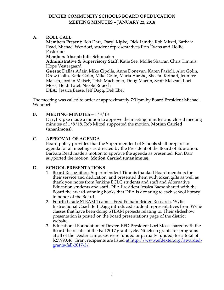## **A. ROLL CALL**

**Members Present:** Ron Darr, Daryl Kipke, Dick Lundy, Rob Mitzel, Barbara Read, Michael Wendorf, student representatives Erin Evans and Hollie Pastorino

**Members Absent:** Julie Schumaker

**Administrative & Supervisory Staff:** Katie See, Mollie Sharrar, Chris Timmis, Hope Vestergaard

**Guests:** Dallas Adair, Mike Cipolla, Anne Donevan, Karen Fazioli, Alex Golin, Drew Golin, Katie Golin, Mike Golin, Maria Harshe, Sheetal Kothari, Jennifer Maisch, Jordan Maisch, Trish Machemer, Doug Marrin, Scott McLean, Lori Moss, Heidi Patel, Nicole Rouech **DEA:** Jessica Baese, Jeff Dagg, Deb Eber

The meeting was called to order at approximately 7:01pm by Board President Michael

Wendorf.

**B. MEETING MINUTES**  $-1/8/18$ 

Daryl Kipke made a motion to approve the meeting minutes and closed meeting minutes of 1/8/18. Rob Mitzel supported the motion. **Motion Carried (unanimous).** 

#### **C. APPROVAL OF AGENDA**

Board policy provides that the Superintendent of Schools shall prepare an agenda for all meetings as directed by the President of the Board of Education. Barbara Read made a motion to approve the agenda as presented. Ron Darr supported the motion. **Motion Carried (unanimous).**

## **D. SCHOOL PRESENTATIONS**

- 1. Board Recognition. Superintendent Timmis thanked Board members for their service and dedication, and presented them with token gifts as well as thank you notes from Jenkins ECLC students and staff and Alternative Education students and staff. DEA President Jessica Baese shared with the Board the award-winning books that DEA is donating to each school library in honor of the Board.
- 2. Fourth Grade STEAM Teams Fred Pelham Bridge Research. Wylie Instructional Coach Jeff Dagg introduced student representatives from Wylie classes that have been doing STEAM projects relating to. Their slideshow presentation is posted on the board presentations page of the district website.
- 3. Educational Foundation of Dexter. EFD President Lori Moss shared with the Board the results of the Fall 2017 grant cycle. Nineteen grants for programs at all of the Dexter campuses were funded or partially funded, for a total of \$27,990.46. Grant recipients are listed at http://www.efdexter.org/awardedgrants-fall-2017-3/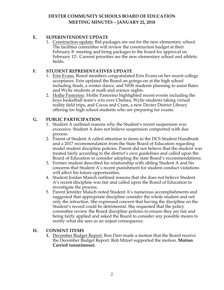## **E. SUPERINTENDENT UPDATE**

1. Construction update: Bid packages are out for the new elementary school. The facilities committee will review the construction budget at their February  $8<sup>*</sup>$  meeting and bring packages to the board for approval on February 12<sup>th</sup>. Current priorities are the new elementary school and athletic fields.

#### **F. STUDENT REPRESENTATIVES UPDATE**

- 1. Erin Evans. Board members congratulated Erin Evans on her recent college acceptance. Erin updated the Board on goings-on at the high school including finals, a winter dance, and NHS students planning to assist Bates and Wylie students at math and science nights.
- 2. Hollie Pastorino. Hollie Pastorino highlighted recent events including the boys basketball team's win over Chelsea, Wylie students taking virtual reality field trips, and Cocoa and Cram, a new Dexter District Library offering for high school students who are preparing for exams.

#### **G. PUBLIC PARTICIPATION**

- 1. Student A outlined reasons why the Student's recent suspension was excessive. Student A does not believe suspension comported with due process.
- 2. Parent of Student A called attention to items in the DCS Student Handbook and a 2017 recommendation from the State Board of Education regarding model student discipline policies. Parent did not believe that the student was treated fairly according to the district's own guidelines and called upon the Board of Education to consider adopting the state Board's recommendations.
- 3. Former student described his relationship with sibling Student A and his concerns that Student A's recent punishment for student conduct violations will affect his future opportunities.
- 4. Student Jordan Maisch outlined reasons that she does not believe Student A's recent discipline was fair and called upon the Board of Education to investigate the process.
- 5. Parent Jennifer Maisch noted Student A's numerous accomplishments and suggested that appropriate discipline consider the whole student and not only the infraction. She expressed concern that having the discipline on the Student's record could be detrimental. She requested that the policy committee review the Board discipline policies to ensure they are fair and being fairly applied and asked the Board to consider any possible means to rectify what she sees as an unjust consequence.

#### **H. CONSENT ITEMS**

**1.** December Budget Report. Ron Darr made a motion that the Board receive the December Budget Report. Rob Mitzel supported the motion. **Motion Carried (unanimous).**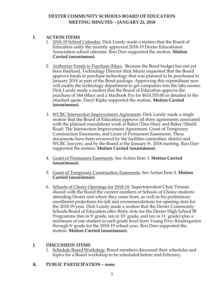#### **I. ACTION ITEMS**

- 1. 2018-19 School Calendar. Dick Lundy made a motion that the Board of Education ratify the recently approved 2018-19 Dexter Educational Association school calendar. Ron Darr supported the motion. **Motion Carried (unanimous).**
- 2. Authorize Funds to Purchase iMacs. Because the Bond budget has not yet been finalized, Technology Director Rick Munir requested that the Board approve funds to purchase technology that was planned to be purchased in January 2018 as part of the Bond package. Approving this expenditure now will enable the technology department to get computers into the labs sooner. Dick Lundy made a motion that the Board of Education approve the purchase of 344 iMacs and a MacBook Pro for \$610,555.00 as detailed in the attached quote. Daryl Kipke supported the motion. **Motion Carried (unanimous).**
- 3. WCRC Intersection Improvement Agreement. Dick Lundy made a single motion that the Board of Education approve all three agreements associated with the planned roundabout work at Baker/Dan Hoey and Baker/Shield Road: The Intersection Improvement Agreement, Grant of Temporary Construction Easements, and Grant of Permanent Easements. These documents have been reviewed by the facilities committee, district and WCRC lawyers, and by the Board at the January  $8<sup>*</sup>$ , 2018 meeting. Ron Darr supported the motion. **Motion Carried (unanimous).**
- 4. Grant of Permanent Easements. See Action Item 3. **Motion Carried (unanimous).**
- 5. Grant of Temporary Construction Easements. See Action Item 3. **Motion Carried (unanimous).**
- 6. Schools of Choice Openings for 2018-19. Superintendent Chris Timmis shared with the Board the current numbers of Schools of Choice students attending Dexter and where they come from, as well as his preliminary enrollment projections for fall and recommendations for opening slots for the 2018-19 year. Dick Lundy made a motion that the Dexter Community Schools Board of Education offer thirty slots for the Dexter High School IB Programme (ten in  $9$ <sup>th</sup> grade, ten in 10<sup>th</sup> grade, and ten in 11<sup>th</sup> grade) plus a minimum of one student in each grade level from Young Five/Kindergarten through  $8<sup>*</sup>$  grade for the 2018-19 school year. Ron Darr supported the motion. **Motion Carried (unanimous).**

#### **J. DISCUSSION ITEMS**

1. Schedule Board Workshop. Board members discussed their schedules and topics for a Board workshop to be scheduled before mid-February.

#### **K. PUBLIC PARTICIPATION – none**